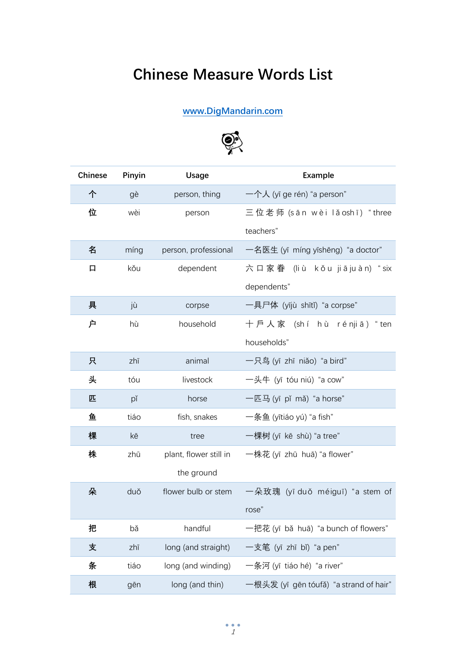## **Chinese Measure Words List**

## **[www.DigMandarin.com](https://www.digmandarin.com/)**



| <b>Chinese</b> | Pinyin | <b>Usage</b>           | Example                                |
|----------------|--------|------------------------|----------------------------------------|
| 个              | gè     | person, thing          | 一个人 (yī ge rén) "a person"             |
| 位              | wèi    | person                 | 三位老师 (sān wèi lǎoshī) "three           |
|                |        |                        | teachers"                              |
| 名              | míng   | person, professional   | 一名医生 (yī míng yīshēng) "a doctor"      |
| 口              | kǒu    | dependent              | 六口家眷 (liù kǒu jiājuàn) "six            |
|                |        |                        | dependents"                            |
| 具              | jù     | corpse                 | 一具尸体 (yījù shītǐ) "a corpse"           |
| 户              | hù     | household              | 十戶人家 (shí hù rénjiā) "ten              |
|                |        |                        | households"                            |
| 只              | zhī    | animal                 | 一只鸟 (yī zhī niǎo) "a bird"             |
| 头              | tóu    | livestock              | 一头牛 (yī tóu niú) "a cow"               |
| 匹              | pĭ     | horse                  | 一匹马 (yī pǐ mǎ) "a horse"               |
| 鱼              | tiáo   | fish, snakes           | 一条鱼 (yītiáo yú) "a fish"               |
| 棵              | kē     | tree                   | 一棵树 (yī kē shù) "a tree"               |
| 株              | zhū    | plant, flower still in | 一株花 (yī zhū huā) "a flower"            |
|                |        | the ground             |                                        |
| 朵              | duǒ    | flower bulb or stem    | 一朵玫瑰 (yī duǒ méiguī) "a stem of        |
|                |        |                        | rose"                                  |
| 把              | bǎ     | handful                | -把花(yī bǎ huā) "a bunch of flowers"    |
| 支              | zhī    | long (and straight)    | 一支笔 (yī zhī bǐ) "a pen"                |
| 条              | tiáo   | long (and winding)     | -条河 (yī tiáo hé) "a river"             |
| 根              | gēn    | long (and thin)        | -根头发 (yī gēn tóufǎ) "a strand of hair" |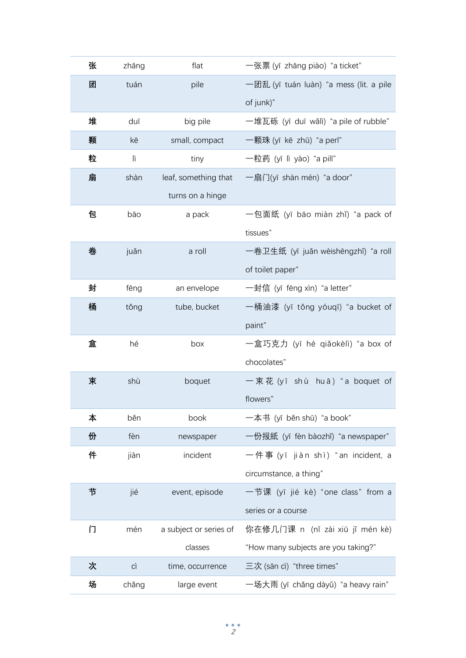| 张  | zhāng | flat                   | 一张票 (yī zhāng piào) "a ticket"          |
|----|-------|------------------------|-----------------------------------------|
| 团  | tuán  | pile                   | 一团乱 (yī tuán luàn) "a mess (lit. a pile |
|    |       |                        | of junk)"                               |
| 堆  | duī   | big pile               | 一堆瓦砾 (yī duī wǎlì) "a pile of rubble"   |
| 颗  | kē    | small, compact         | 一颗珠 (yī kē zhū) "a perl"                |
| 粒  | lì    | tiny                   | 一粒药 (yī lì yào) "a pill"                |
| 扇  | shàn  | leaf, something that   | 一扇门(yī shàn mén) "a door"               |
|    |       | turns on a hinge       |                                         |
| 包  | bāo   | a pack                 | 一包面纸 (yī bāo miàn zhǐ) "a pack of       |
|    |       |                        | tissues"                                |
| 卷  | juǎn  | a roll                 | 一卷卫生纸 (yī juǎn wèishēngzhǐ) "a roll     |
|    |       |                        | of toilet paper"                        |
| 封  | fēng  | an envelope            | 一封信 (yī fēng xìn) "a letter"            |
| 桶  | tǒng  | tube, bucket           | 一桶油漆 (yī tǒng yóuqī) "a bucket of       |
|    |       |                        | paint"                                  |
| 盒  | hé    | box                    | 一盒巧克力 (yī hé qiǎokèlì) "a box of        |
|    |       |                        | chocolates"                             |
| 束  | shù   | boquet                 | 一束花 (yī shù huā) "a boquet of           |
|    |       |                        | flowers"                                |
| 本  | běn   | book                   | 一本书 (yī běn shū) "a book"               |
| 份  | fèn   | newspaper              | 一份报紙 (yī fèn bàozhǐ) "a newspaper"      |
| 件  | jiàn  | incident               | 一件事 (yī jiàn shì) "an incident, a       |
|    |       |                        | circumstance, a thing"                  |
| 节  | jié   | event, episode         | 一节课 (yī jié kè) "one class" from a      |
|    |       |                        | series or a course                      |
| ΓÌ | mén   | a subject or series of | 你在修几门课 n (nǐ zài xiū jǐ mén kè)         |
|    |       | classes                | "How many subjects are you taking?"     |
| 次  | CÌ    | time, occurrence       | 三次 (sān cì) "three times"               |
| 场  | chǎng | large event            | 一场大雨 (yī chǎng dàyǔ) "a heavy rain"     |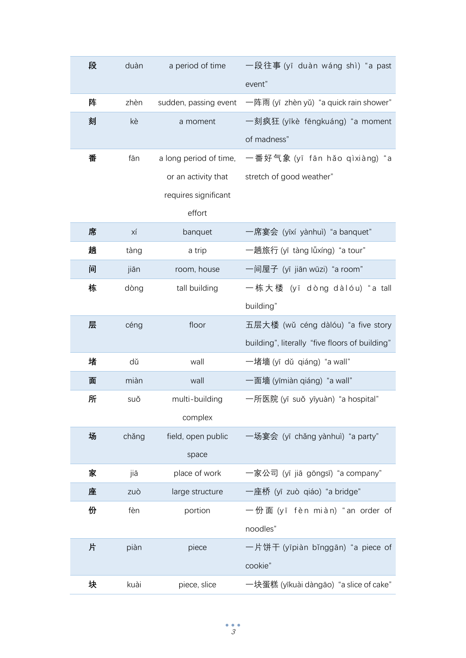| 段 | duàn  | a period of time       | 一段往事 (yī duàn wáng shì) "a past                |
|---|-------|------------------------|------------------------------------------------|
|   |       |                        | event"                                         |
| 阵 | zhèn  | sudden, passing event  | 一阵雨 (yī zhèn yǔ) "a quick rain shower"         |
| 刻 | kè    | a moment               | 一刻疯狂 (yīkè fēngkuáng) "a moment                |
|   |       |                        | of madness"                                    |
| 番 | fān   | a long period of time, | 一番好气象 (yī fān hǎo qìxiàng) "a                  |
|   |       | or an activity that    | stretch of good weather"                       |
|   |       | requires significant   |                                                |
|   |       | effort                 |                                                |
| 席 | ХÍ    | banquet                | 一席宴会 (yīxí yànhuì) "a banquet"                 |
| 趟 | tàng  | a trip                 | 一趟旅行 (yī tàng lǚxíng) "a tour"                 |
| 间 | jiān  | room, house            | 一间屋子 (yī jiān wūzi) "a room"                   |
| 栋 | dòng  | tall building          | 一栋大楼 (yī dòng dàlóu) "a tall                   |
|   |       |                        | building"                                      |
| 层 | céng  | floor                  | 五层大楼 (wǔ céng dàlóu) "a five story             |
|   |       |                        | building", literally "five floors of building" |
| 堵 | dŭ    | wall                   | 一堵墙 (yī dǔ qiáng) "a wall"                     |
| 面 | miàn  | wall                   | 一面墙 (yīmiàn qiáng) "a wall"                    |
| 所 | suǒ   | multi-building         | 一所医院 (yī suǒ yīyuàn) "a hospital"              |
|   |       | complex                |                                                |
| 场 | chǎng | field, open public     | 一场宴会 (yī chǎng yànhuì) "a party"               |
|   |       | space                  |                                                |
| 家 | jiā   | place of work          | 一家公司 (yī jiā gōngsī) "a company"               |
| 座 | zuò   | large structure        | 一座桥 (yī zuò qiáo) "a bridge"                   |
| 份 | fèn   | portion                | 一份面 (yī fèn miàn) "an order of                 |
|   |       |                        | noodles"                                       |
| 片 | piàn  | piece                  | 一片饼干 (yīpiàn bǐnggān) "a piece of              |
|   |       |                        | cookie"                                        |
| 块 | kuài  | piece, slice           | 一块蛋糕 (yīkuài dàngāo) "a slice of cake"         |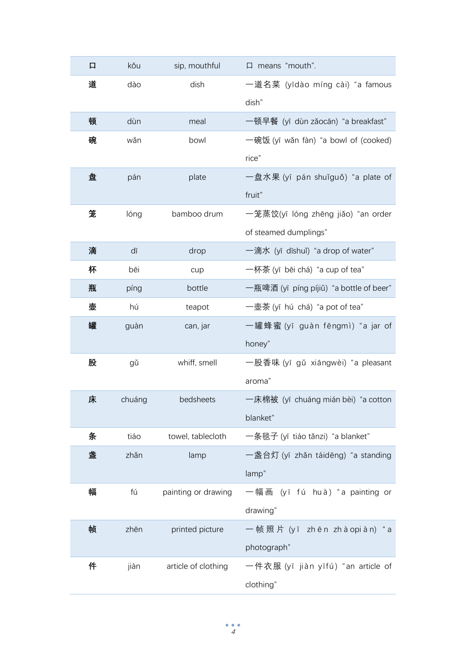| 口 | kǒu    | sip, mouthful       | $\Box$ means "mouth".                   |
|---|--------|---------------------|-----------------------------------------|
| 道 | dào    | dish                | 一道名菜 (yīdào míng cài) "a famous         |
|   |        |                     | dish"                                   |
| 顿 | dùn    | meal                | 一顿早餐 (yī dùn zǎocān) "a breakfast"      |
| 碗 | wǎn    | bowl                | 一碗饭 (yī wǎn fàn) "a bowl of (cooked)    |
|   |        |                     | rice"                                   |
| 盘 | pán    | plate               | 一盘水果 (yī pán shuǐguǒ) "a plate of       |
|   |        |                     | fruit"                                  |
| 笼 | lóng   | bamboo drum         | 一笼蒸饺(yī lóng zhēng jiǎo) "an order      |
|   |        |                     | of steamed dumplings"                   |
| 滴 | dī     | drop                | 一滴水 (yī dīshuǐ) "a drop of water"       |
| 杯 | bēi    | cup                 | 一杯茶 (yī bēi chá) "a cup of tea"         |
| 瓶 | píng   | bottle              | 一瓶啤酒 (yī píng píjiǔ) "a bottle of beer" |
| 壶 | hú     | teapot              | 一壶茶 (yī hú chá) "a pot of tea"          |
| 罐 | guàn   | can, jar            | 一罐蜂蜜(yī guàn fēngmì)"a jar of           |
|   |        |                     | honey"                                  |
| 股 | gǔ     | whiff, smell        | 一股香味 (yī gǔ xiāngwèi) "a pleasant       |
|   |        |                     | aroma"                                  |
| 床 | chuáng | bedsheets           | 一床棉被 (yī chuáng mián bèi) "a cotton     |
|   |        |                     | blanket"                                |
| 条 | tiáo   | towel, tablecloth   | 一条毯子 (yī tiáo tǎnzi) "a blanket"        |
| 盏 | zhǎn   | lamp                | 一盏台灯 (yī zhǎn táidēng) "a standing      |
|   |        |                     | lamp"                                   |
| 幅 | fú     | painting or drawing | (yī fú huà) "a painting or<br>一幅画       |
|   |        |                     | drawing"                                |
| 帧 | zhēn   | printed picture     | 一帧照片 (yī zhēn zhàopiàn)" a              |
|   |        |                     | photograph"                             |
| 件 | jiàn   | article of clothing | 一件衣服 (yī jiàn yīfú)"an article of       |
|   |        |                     | clothing"                               |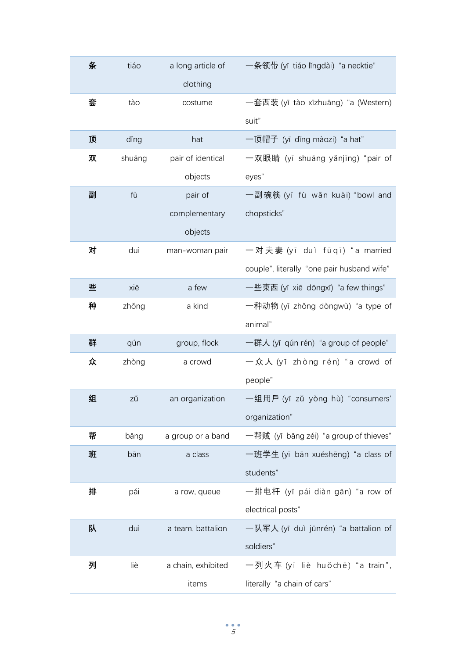| 条 | tiáo   | a long article of  | 一条领带 (yī tiáo lǐngdài) "a necktie"         |
|---|--------|--------------------|--------------------------------------------|
|   |        | clothing           |                                            |
| 套 | tào    | costume            | 一套西装 (yī tào xīzhuāng) "a (Western)        |
|   |        |                    | suit"                                      |
| 顶 | ding   | hat                | 一顶帽子 (yī dǐng màozi) "a hat"               |
| 双 | shuāng | pair of identical  | 一双眼睛 (yī shuāng yǎnjīng) "pair of          |
|   |        | objects            | eyes"                                      |
| 副 | fù     | pair of            | 一副碗筷 (yī fù wǎn kuài) "bowl and            |
|   |        | complementary      | chopsticks"                                |
|   |        | objects            |                                            |
| 对 | duì    | man-woman pair     | 一对夫妻 (yī duì fūqī) "a married              |
|   |        |                    | couple", literally "one pair husband wife" |
| 些 | xiē    | a few              | 一些東西 (yī xiē dōngxī) "a few things"        |
| 种 | zhǒng  | a kind             | 一种动物 (yī zhǒng dòngwù) "a type of          |
|   |        |                    | animal"                                    |
| 群 | qún    | group, flock       | 一群人 (yī qún rén) "a group of people"       |
| 众 | zhòng  | a crowd            | 一众人 (yī zhòng rén) "a crowd of             |
|   |        |                    | people"                                    |
| 组 | zǔ     | an organization    | 一组用戶 (yī zǔ yòng hù) "consumers'           |
|   |        |                    | organization"                              |
| 帮 | bāng   | a group or a band  | 一帮贼 (yī bāng zéi) "a group of thieves"     |
| 班 | bān    | a class            | 一班学生 (yī bān xuéshēng) "a class of         |
|   |        |                    | students"                                  |
| 排 | pái    | a row, queue       | 一排电杆 (yī pái diàn gān) "a row of           |
|   |        |                    | electrical posts"                          |
| 队 | duì    | a team, battalion  | 一队军人 (yī duì jūnrén) "a battalion of       |
|   |        |                    | soldiers"                                  |
| 列 | liè    | a chain, exhibited | 一列火车 (yī liè huǒchē) "a train",            |
|   |        | items              | literally "a chain of cars"                |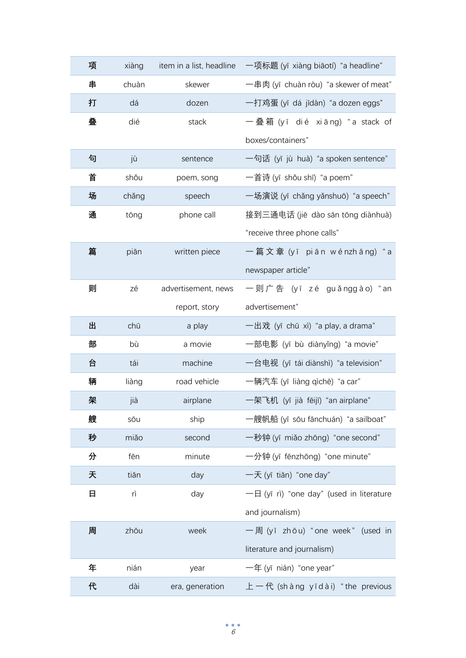| 项 | xiàng | item in a list, headline | 一项标题 (yī xiàng biāotí) "a headline"      |
|---|-------|--------------------------|------------------------------------------|
| 串 | chuàn | skewer                   | 一串肉 (yī chuàn ròu) "a skewer of meat"    |
| 打 | dá    | dozen                    | 一打鸡蛋 (yī dá jīdàn) "a dozen eggs"        |
| 叠 | dié   | stack                    | 一叠箱 (yī dié xiāng)"a stack of            |
|   |       |                          | boxes/containers"                        |
| 句 | jù    | sentence                 | 一句话 (yī jù huà) "a spoken sentence"      |
| 首 | shǒu  | poem, song               | 一首诗 (yī shǒu shī) "a poem"               |
| 场 | chǎng | speech                   | 一场演说 (yī chǎng yǎnshuō) "a speech"       |
| 通 | tōng  | phone call               | 接到三通电话 (jiē dào sān tōng diànhuà)        |
|   |       |                          | "receive three phone calls"              |
| 篇 | piān  | written piece            | 一 篇 文 章 (yī piān wénzhāng)" a            |
|   |       |                          | newspaper article"                       |
| 则 | zé    | advertisement, news      | 一则广告 (yī zé guǎnggào) "an                |
|   |       | report, story            | advertisement"                           |
| 出 | chū   | a play                   | 一出戏 (yī chū xì) "a play, a drama"        |
| 部 | bù    | a movie                  | 一部电影 (yī bù diànyǐng) "a movie"          |
| 台 | tái   | machine                  | 一台电视 (yī tái diànshì) "a television"     |
| 辆 | liàng | road vehicle             | 一辆汽车 (yī liàng qìchē) "a car"            |
| 架 | jià   | airplane                 | 一架飞机 (yī jià fēijī) "an airplane"        |
| 艘 | sōu   | ship                     | 一艘帆船 (yī sōu fānchuán) "a sailboat"      |
| 秒 | miǎo  | second                   | 一秒钟 (yī miǎo zhōng) "one second"         |
| 分 | fēn   | minute                   | 一分钟 (yī fēnzhōng) "one minute"           |
| 天 | tiān  | day                      | 一天 (yī tiān) "one day"                   |
| 日 | rì    | day                      | 一日 (yī rì) "one day" (used in literature |
|   |       |                          | and journalism)                          |
| 周 | zhōu  | week                     | 一周 (yī zhōu) "one week" (used in         |
|   |       |                          | literature and journalism)               |
| 年 | nián  | year                     | $-\text{f}$ (yī nián) "one year"         |
| 代 | dài   | era, generation          | 上一代 (shàng yīdài) "the previous          |